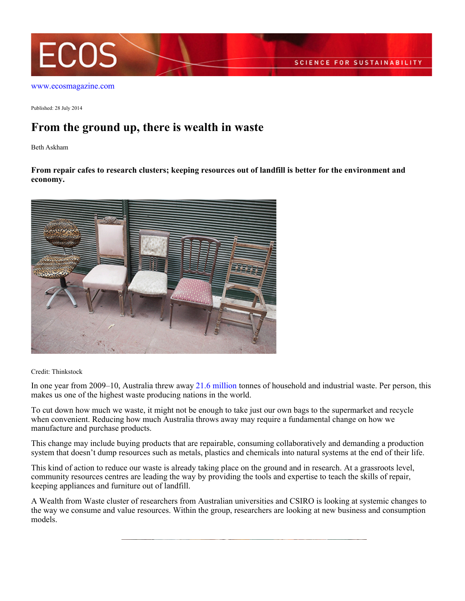

[www.ecosmagazine.com](http://www.ecosmagazine.com)

Published: 28 July 2014

## **From the ground up, there is wealth in waste**

Beth Askham

**From repair cafes to research clusters; keeping resources out of landfill is better for the environment and economy.**



Credit: Thinkstock

In one year from 2009–10, Australia threw away [21.6 million](https://theconversation.com/how-to-create-wealth-from-waste-and-reduce-our-landfill-24842) tonnes of household and industrial waste. Per person, this makes us one of the highest waste producing nations in the world.

To cut down how much we waste, it might not be enough to take just our own bags to the supermarket and recycle when convenient. Reducing how much Australia throws away may require a fundamental change on how we manufacture and purchase products.

This change may include buying products that are repairable, consuming collaboratively and demanding a production system that doesn't dump resources such as metals, plastics and chemicals into natural systems at the end of their life.

This kind of action to reduce our waste is already taking place on the ground and in research. At a grassroots level, community resources centres are leading the way by providing the tools and expertise to teach the skills of repair, keeping appliances and furniture out of landfill.

A Wealth from Waste cluster of researchers from Australian universities and CSIRO is looking at systemic changes to the way we consume and value resources. Within the group, researchers are looking at new business and consumption models.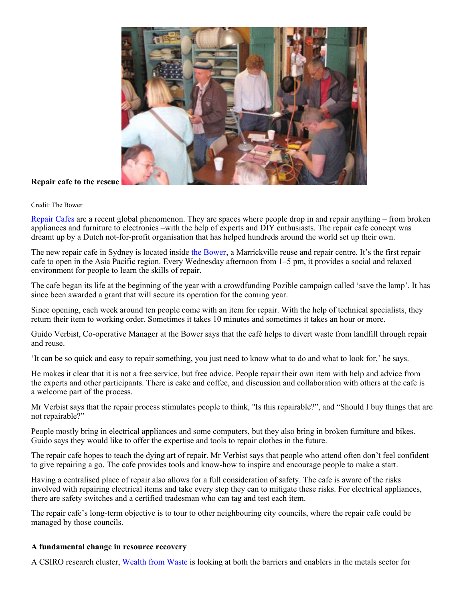

## **Repair cafe to the rescue**

## Credit: The Bower

[Repair Cafes](http://repaircafe.org/) are a recent global phenomenon. They are spaces where people drop in and repair anything – from broken appliances and furniture to electronics –with the help of experts and DIY enthusiasts. The repair cafe concept was dreamt up by a Dutch not-for-profit organisation that has helped hundreds around the world set up their own.

The new repair cafe in Sydney is located inside [the Bower](http://bower.org.au/repair-cafe/), a Marrickville reuse and repair centre. It's the first repair cafe to open in the Asia Pacific region. Every Wednesday afternoon from 1–5 pm, it provides a social and relaxed environment for people to learn the skills of repair.

The cafe began its life at the beginning of the year with a crowdfunding Pozible campaign called 'save the lamp'. It has since been awarded a grant that will secure its operation for the coming year.

Since opening, each week around ten people come with an item for repair. With the help of technical specialists, they return their item to working order. Sometimes it takes 10 minutes and sometimes it takes an hour or more.

Guido Verbist, Co-operative Manager at the Bower says that the café helps to divert waste from landfill through repair and reuse.

'It can be so quick and easy to repair something, you just need to know what to do and what to look for,' he says.

He makes it clear that it is not a free service, but free advice. People repair their own item with help and advice from the experts and other participants. There is cake and coffee, and discussion and collaboration with others at the cafe is a welcome part of the process.

Mr Verbist says that the repair process stimulates people to think, "Is this repairable?", and "Should I buy things that are not repairable?"

People mostly bring in electrical appliances and some computers, but they also bring in broken furniture and bikes. Guido says they would like to offer the expertise and tools to repair clothes in the future.

The repair cafe hopes to teach the dying art of repair. Mr Verbist says that people who attend often don't feel confident to give repairing a go. The cafe provides tools and know-how to inspire and encourage people to make a start.

Having a centralised place of repair also allows for a full consideration of safety. The cafe is aware of the risks involved with repairing electrical items and take every step they can to mitigate these risks. For electrical appliances, there are safety switches and a certified tradesman who can tag and test each item.

The repair cafe's long-term objective is to tour to other neighbouring city councils, where the repair cafe could be managed by those councils.

## **A fundamental change in resource recovery**

A CSIRO research cluster, [Wealth from Waste](http://www.csiro.au/mdu/wfw) is looking at both the barriers and enablers in the metals sector for